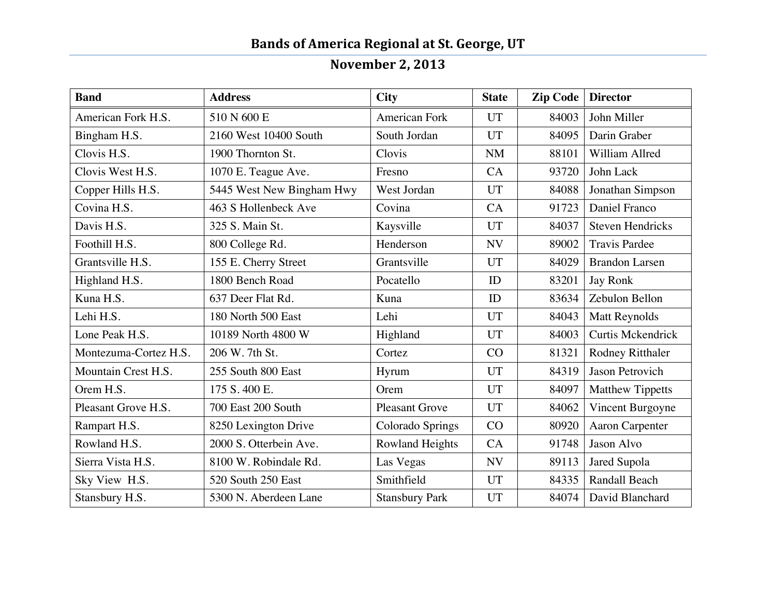## **Bands of America Regional at St. George, UT**

## **November 2, 2013**

| <b>Band</b>           | <b>Address</b>            | <b>City</b>            | <b>State</b> | Zip Code   Director |                         |
|-----------------------|---------------------------|------------------------|--------------|---------------------|-------------------------|
| American Fork H.S.    | 510 N 600 E               | <b>American Fork</b>   | <b>UT</b>    | 84003               | John Miller             |
| Bingham H.S.          | 2160 West 10400 South     | South Jordan           | <b>UT</b>    | 84095               | Darin Graber            |
| Clovis H.S.           | 1900 Thornton St.         | Clovis                 | <b>NM</b>    | 88101               | William Allred          |
| Clovis West H.S.      | 1070 E. Teague Ave.       | Fresno                 | CA           | 93720               | John Lack               |
| Copper Hills H.S.     | 5445 West New Bingham Hwy | West Jordan            | <b>UT</b>    | 84088               | Jonathan Simpson        |
| Covina H.S.           | 463 S Hollenbeck Ave      | Covina                 | CA           | 91723               | Daniel Franco           |
| Davis H.S.            | 325 S. Main St.           | Kaysville              | <b>UT</b>    | 84037               | <b>Steven Hendricks</b> |
| Foothill H.S.         | 800 College Rd.           | Henderson              | <b>NV</b>    | 89002               | <b>Travis Pardee</b>    |
| Grantsville H.S.      | 155 E. Cherry Street      | Grantsville            | <b>UT</b>    | 84029               | <b>Brandon Larsen</b>   |
| Highland H.S.         | 1800 Bench Road           | Pocatello              | ID           | 83201               | Jay Ronk                |
| Kuna H.S.             | 637 Deer Flat Rd.         | Kuna                   | ID           | 83634               | Zebulon Bellon          |
| Lehi H.S.             | 180 North 500 East        | Lehi                   | <b>UT</b>    | 84043               | <b>Matt Reynolds</b>    |
| Lone Peak H.S.        | 10189 North 4800 W        | Highland               | <b>UT</b>    | 84003               | Curtis Mckendrick       |
| Montezuma-Cortez H.S. | 206 W. 7th St.            | Cortez                 | CO           | 81321               | Rodney Ritthaler        |
| Mountain Crest H.S.   | 255 South 800 East        | Hyrum                  | <b>UT</b>    | 84319               | Jason Petrovich         |
| Orem H.S.             | 175 S.400 E.              | Orem                   | <b>UT</b>    | 84097               | <b>Matthew Tippetts</b> |
| Pleasant Grove H.S.   | 700 East 200 South        | <b>Pleasant Grove</b>  | <b>UT</b>    | 84062               | Vincent Burgoyne        |
| Rampart H.S.          | 8250 Lexington Drive      | Colorado Springs       | CO           | 80920               | Aaron Carpenter         |
| Rowland H.S.          | 2000 S. Otterbein Ave.    | <b>Rowland Heights</b> | CA           | 91748               | Jason Alvo              |
| Sierra Vista H.S.     | 8100 W. Robindale Rd.     | Las Vegas              | <b>NV</b>    | 89113               | Jared Supola            |
| Sky View H.S.         | 520 South 250 East        | Smithfield             | <b>UT</b>    | 84335               | Randall Beach           |
| Stansbury H.S.        | 5300 N. Aberdeen Lane     | <b>Stansbury Park</b>  | UT           | 84074               | David Blanchard         |